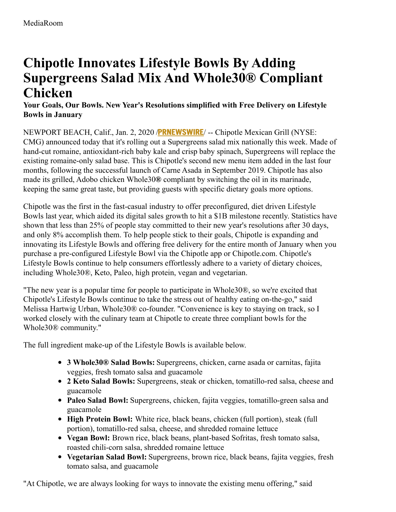# **Chipotle Innovates Lifestyle Bowls By Adding Supergreens Salad Mix And Whole30® Compliant Chicken**

## **Your Goals, Our Bowls. New Year's Resolutions simplified with Free Delivery on Lifestyle Bowls in January**

NEWPORT BEACH, Calif., Jan. 2, 2020 /**[PRNEWSWIRE](http://www.prnewswire.com/)**/ -- Chipotle Mexican Grill (NYSE: CMG) announced today that it's rolling out a Supergreens salad mix nationally this week. Made of hand-cut romaine, antioxidant-rich baby kale and crisp baby spinach, Supergreens will replace the existing romaine-only salad base. This is Chipotle's second new menu item added in the last four months, following the successful launch of Carne Asada in September 2019. Chipotle has also made its grilled, Adobo chicken Whole30**®** compliant by switching the oil in its marinade, keeping the same great taste, but providing guests with specific dietary goals more options.

Chipotle was the first in the fast-casual industry to offer preconfigured, diet driven Lifestyle Bowls last year, which aided its digital sales growth to hit a \$1B milestone recently. Statistics have shown that less than 25% of people stay committed to their new year's resolutions after 30 days, and only 8% accomplish them. To help people stick to their goals, Chipotle is expanding and innovating its Lifestyle Bowls and offering free delivery for the entire month of January when you purchase a pre-configured Lifestyle Bowl via the Chipotle app or Chipotle.com. Chipotle's Lifestyle Bowls continue to help consumers effortlessly adhere to a variety of dietary choices, including Whole30®, Keto, Paleo, high protein, vegan and vegetarian.

"The new year is a popular time for people to participate in Whole30®, so we're excited that Chipotle's Lifestyle Bowls continue to take the stress out of healthy eating on-the-go," said Melissa Hartwig Urban, Whole30® co-founder. "Convenience is key to staying on track, so I worked closely with the culinary team at Chipotle to create three compliant bowls for the Whole30® community."

The full ingredient make-up of the Lifestyle Bowls is available below.

- **3 Whole30® Salad Bowls:** Supergreens, chicken, carne asada or carnitas, fajita veggies, fresh tomato salsa and guacamole
- **2 Keto Salad Bowls:** Supergreens, steak or chicken, tomatillo-red salsa, cheese and guacamole
- **Paleo Salad Bowl:** Supergreens, chicken, fajita veggies, tomatillo-green salsa and guacamole
- **High Protein Bowl:** White rice, black beans, chicken (full portion), steak (full portion), tomatillo-red salsa, cheese, and shredded romaine lettuce
- **Vegan Bowl:** Brown rice, black beans, plant-based Sofritas, fresh tomato salsa, roasted chili-corn salsa, shredded romaine lettuce
- **Vegetarian Salad Bowl:** Supergreens, brown rice, black beans, fajita veggies, fresh tomato salsa, and guacamole

"At Chipotle, we are always looking for ways to innovate the existing menu offering," said